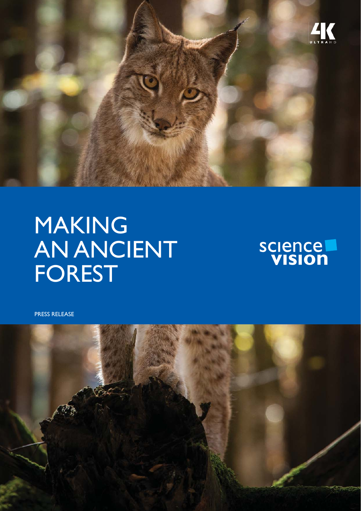

## MAKING **AN ANCIENT** FOREST



PRESS RELEASE